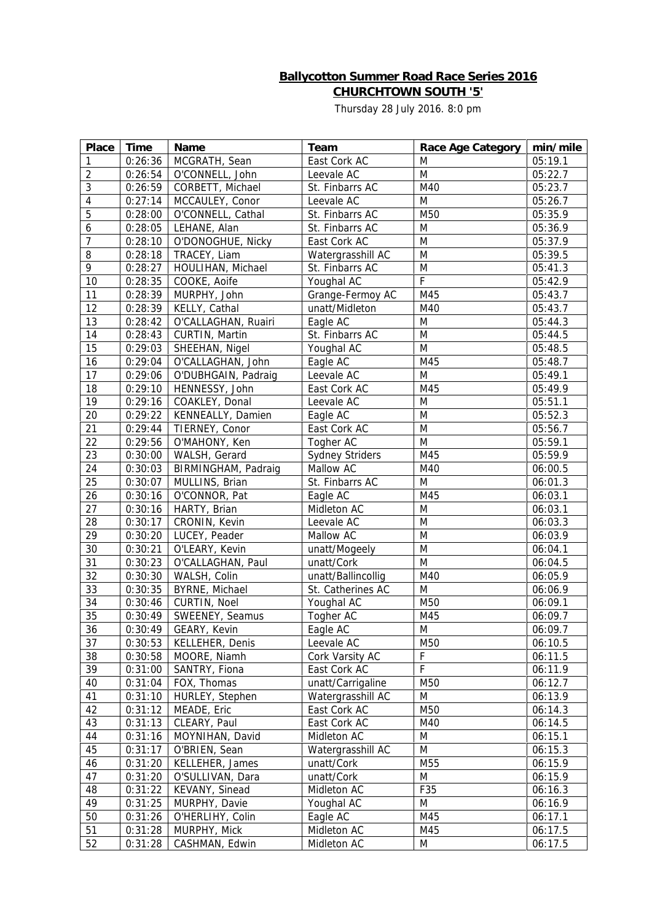## **Ballycotton Summer Road Race Series 2016 CHURCHTOWN SOUTH '5'**

Thursday 28 July 2016. 8:0 pm

| Place          | Time    | Name                   | Team                   | Race Age Category | min/mile |
|----------------|---------|------------------------|------------------------|-------------------|----------|
| $\mathbf{1}$   | 0:26:36 | MCGRATH, Sean          | East Cork AC           | M                 | 05:19.1  |
| $\overline{2}$ | 0:26:54 | O'CONNELL, John        | Leevale AC             | M                 | 05:22.7  |
| 3              | 0:26:59 | CORBETT, Michael       | St. Finbarrs AC        | M40               | 05:23.7  |
| 4              | 0:27:14 | MCCAULEY, Conor        | Leevale AC             | M                 | 05:26.7  |
| 5              | 0:28:00 | O'CONNELL, Cathal      | St. Finbarrs AC        | M50               | 05:35.9  |
| 6              | 0:28:05 | LEHANE, Alan           | St. Finbarrs AC        | M                 | 05:36.9  |
| $\overline{7}$ | 0:28:10 | O'DONOGHUE, Nicky      | East Cork AC           | M                 | 05:37.9  |
| 8              | 0:28:18 | TRACEY, Liam           | Watergrasshill AC      | M                 | 05:39.5  |
| 9              | 0:28:27 | HOULIHAN, Michael      | St. Finbarrs AC        | M                 | 05:41.3  |
| 10             | 0:28:35 | COOKE, Aoife           | Youghal AC             | F                 | 05:42.9  |
| 11             | 0:28:39 | MURPHY, John           | Grange-Fermoy AC       | M45               | 05:43.7  |
| 12             | 0:28:39 | KELLY, Cathal          | unatt/Midleton         | M40               | 05:43.7  |
| 13             | 0:28:42 | O'CALLAGHAN, Ruairi    | Eagle AC               | M                 | 05:44.3  |
| 14             | 0:28:43 | CURTIN, Martin         | St. Finbarrs AC        | M                 | 05:44.5  |
| 15             | 0:29:03 | SHEEHAN, Nigel         | Youghal AC             | M                 | 05:48.5  |
| 16             | 0:29:04 | O'CALLAGHAN, John      | Eagle AC               | M45               | 05:48.7  |
| 17             | 0:29:06 | O'DUBHGAIN, Padraig    | Leevale AC             | M                 | 05:49.1  |
| 18             | 0:29:10 | HENNESSY, John         | East Cork AC           | M45               | 05:49.9  |
| 19             | 0:29:16 | COAKLEY, Donal         | Leevale AC             | M                 | 05:51.1  |
| 20             | 0:29:22 | KENNEALLY, Damien      | Eagle AC               | M                 | 05:52.3  |
| 21             | 0:29:44 | TIERNEY, Conor         | East Cork AC           | M                 | 05:56.7  |
| 22             | 0:29:56 | O'MAHONY, Ken          | Togher AC              | M                 | 05:59.1  |
| 23             | 0:30:00 | WALSH, Gerard          | <b>Sydney Striders</b> | M45               | 05:59.9  |
| 24             | 0:30:03 | BIRMINGHAM, Padraig    | Mallow AC              | M40               | 06:00.5  |
| 25             | 0:30:07 | MULLINS, Brian         | St. Finbarrs AC        | M                 | 06:01.3  |
| 26             | 0:30:16 | O'CONNOR, Pat          | Eagle AC               | M45               | 06:03.1  |
| 27             | 0:30:16 | HARTY, Brian           | Midleton AC            | M                 | 06:03.1  |
|                |         |                        |                        | M                 |          |
| 28             | 0:30:17 | CRONIN, Kevin          | Leevale AC             |                   | 06:03.3  |
| 29             | 0:30:20 | LUCEY, Peader          | Mallow AC              | M                 | 06:03.9  |
| 30<br>31       | 0:30:21 | O'LEARY, Kevin         | unatt/Mogeely          | M                 | 06:04.1  |
|                | 0:30:23 | O'CALLAGHAN, Paul      | unatt/Cork             | M                 | 06:04.5  |
| 32             | 0:30:30 | WALSH, Colin           | unatt/Ballincollig     | M40               | 06:05.9  |
| 33             | 0:30:35 | BYRNE, Michael         | St. Catherines AC      | M                 | 06:06.9  |
| 34             | 0:30:46 | CURTIN, Noel           | Youghal AC             | M50               | 06:09.1  |
| 35             | 0:30:49 | SWEENEY, Seamus        | Togher AC              | M45               | 06:09.7  |
| 36             |         | $0:30:49$ GEARY, Kevin | Eagle AC               | M                 | 06:09.7  |
| 37             | 0:30:53 | KELLEHER, Denis        | Leevale AC             | M50               | 06:10.5  |
| 38             | 0:30:58 | MOORE, Niamh           | Cork Varsity AC        | F                 | 06:11.5  |
| 39             | 0:31:00 | SANTRY, Fiona          | East Cork AC           | $\overline{F}$    | 06:11.9  |
| 40             | 0:31:04 | FOX, Thomas            | unatt/Carrigaline      | M50               | 06:12.7  |
| 41             | 0:31:10 | HURLEY, Stephen        | Watergrasshill AC      | M                 | 06:13.9  |
| 42             | 0:31:12 | MEADE, Eric            | East Cork AC           | M50               | 06:14.3  |
| 43             | 0:31:13 | CLEARY, Paul           | East Cork AC           | M40               | 06:14.5  |
| 44             | 0:31:16 | MOYNIHAN, David        | Midleton AC            | M                 | 06:15.1  |
| 45             | 0:31:17 | O'BRIEN, Sean          | Watergrasshill AC      | M                 | 06:15.3  |
| 46             | 0:31:20 | KELLEHER, James        | unatt/Cork             | M55               | 06:15.9  |
| 47             | 0:31:20 | O'SULLIVAN, Dara       | unatt/Cork             | M                 | 06:15.9  |
| 48             | 0:31:22 | KEVANY, Sinead         | Midleton AC            | F35               | 06:16.3  |
| 49             | 0:31:25 | MURPHY, Davie          | Youghal AC             | M                 | 06:16.9  |
| 50             | 0:31:26 | O'HERLIHY, Colin       | Eagle AC               | M45               | 06:17.1  |
| 51             | 0:31:28 | MURPHY, Mick           | Midleton AC            | M45               | 06:17.5  |
| 52             | 0:31:28 | CASHMAN, Edwin         | Midleton AC            | M                 | 06:17.5  |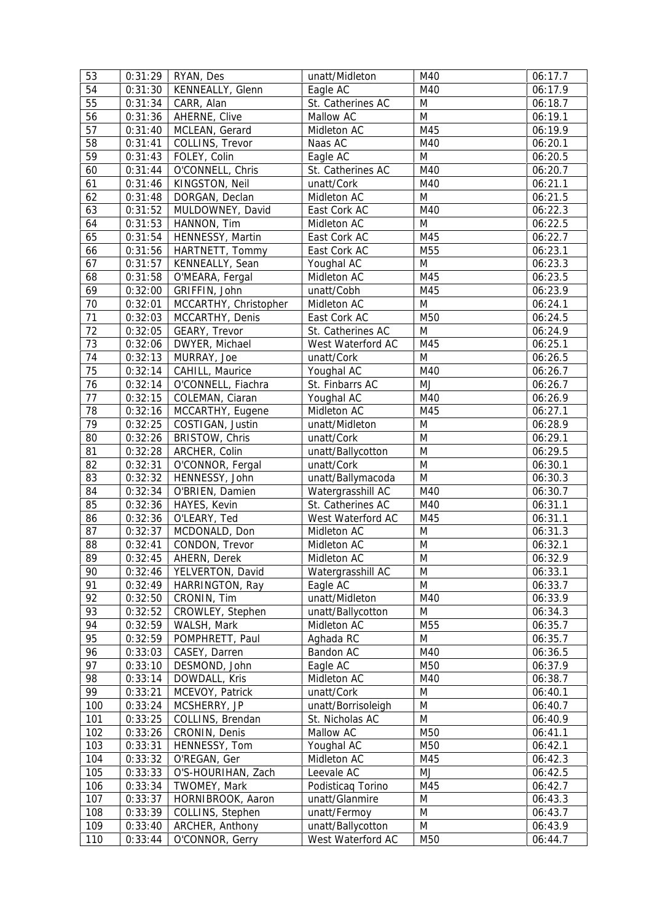| 53  | 0:31:29 | RYAN, Des             | unatt/Midleton     | M40       | 06:17.7 |
|-----|---------|-----------------------|--------------------|-----------|---------|
| 54  | 0:31:30 | KENNEALLY, Glenn      | Eagle AC           | M40       | 06:17.9 |
| 55  | 0:31:34 | CARR, Alan            | St. Catherines AC  | M         | 06:18.7 |
| 56  | 0:31:36 | AHERNE, Clive         | Mallow AC          | M         | 06:19.1 |
| 57  | 0:31:40 | MCLEAN, Gerard        | Midleton AC        | M45       | 06:19.9 |
| 58  | 0:31:41 | COLLINS, Trevor       | Naas AC            | M40       | 06:20.1 |
| 59  | 0:31:43 | FOLEY, Colin          | Eagle AC           | M         | 06:20.5 |
| 60  | 0:31:44 | O'CONNELL, Chris      | St. Catherines AC  | M40       | 06:20.7 |
| 61  | 0:31:46 | KINGSTON, Neil        | unatt/Cork         | M40       | 06:21.1 |
| 62  | 0:31:48 | DORGAN, Declan        | Midleton AC        | M         | 06:21.5 |
| 63  | 0:31:52 | MULDOWNEY, David      | East Cork AC       | M40       | 06:22.3 |
| 64  | 0:31:53 | HANNON, Tim           | Midleton AC        | M         | 06:22.5 |
| 65  | 0:31:54 | HENNESSY, Martin      | East Cork AC       | M45       | 06:22.7 |
| 66  | 0:31:56 | HARTNETT, Tommy       | East Cork AC       | M55       | 06:23.1 |
| 67  | 0:31:57 | KENNEALLY, Sean       | Youghal AC         | M         | 06:23.3 |
| 68  | 0:31:58 | O'MEARA, Fergal       | Midleton AC        | M45       | 06:23.5 |
| 69  | 0:32:00 | GRIFFIN, John         | unatt/Cobh         | M45       | 06:23.9 |
| 70  | 0:32:01 | MCCARTHY, Christopher | Midleton AC        | M         | 06:24.1 |
| 71  | 0:32:03 | MCCARTHY, Denis       | East Cork AC       | M50       | 06:24.5 |
| 72  | 0:32:05 | GEARY, Trevor         | St. Catherines AC  | M         | 06:24.9 |
| 73  | 0:32:06 | DWYER, Michael        | West Waterford AC  | M45       | 06:25.1 |
| 74  | 0:32:13 | MURRAY, Joe           | unatt/Cork         | M         | 06:26.5 |
| 75  | 0:32:14 | CAHILL, Maurice       | Youghal AC         | M40       | 06:26.7 |
| 76  | 0:32:14 | O'CONNELL, Fiachra    | St. Finbarrs AC    | MJ        | 06:26.7 |
| 77  | 0:32:15 | COLEMAN, Ciaran       | Youghal AC         | M40       | 06:26.9 |
| 78  | 0:32:16 | MCCARTHY, Eugene      | Midleton AC        | M45       | 06:27.1 |
| 79  | 0:32:25 | COSTIGAN, Justin      | unatt/Midleton     | M         | 06:28.9 |
| 80  | 0:32:26 | BRISTOW, Chris        | unatt/Cork         | M         | 06:29.1 |
| 81  | 0:32:28 | ARCHER, Colin         | unatt/Ballycotton  | M         | 06:29.5 |
| 82  | 0:32:31 | O'CONNOR, Fergal      | unatt/Cork         | M         | 06:30.1 |
| 83  | 0:32:32 | HENNESSY, John        | unatt/Ballymacoda  | ${\sf M}$ | 06:30.3 |
| 84  | 0:32:34 | O'BRIEN, Damien       | Watergrasshill AC  | M40       | 06:30.7 |
| 85  | 0:32:36 | HAYES, Kevin          | St. Catherines AC  | M40       | 06:31.1 |
| 86  | 0:32:36 | O'LEARY, Ted          | West Waterford AC  | M45       | 06:31.1 |
| 87  | 0:32:37 | MCDONALD, Don         | Midleton AC        | M         | 06:31.3 |
| 88  | 0:32:41 | CONDON, Trevor        | Midleton AC        | M         | 06:32.1 |
| 89  | 0:32:45 | AHERN, Derek          | Midleton AC        | M         | 06:32.9 |
| 90  | 0:32:46 | YELVERTON, David      | Watergrasshill AC  | M         | 06:33.1 |
| 91  | 0:32:49 | HARRINGTON, Ray       | Eagle AC           | M         | 06:33.7 |
| 92  | 0:32:50 | CRONIN, Tim           | unatt/Midleton     | M40       | 06:33.9 |
| 93  | 0:32:52 | CROWLEY, Stephen      | unatt/Ballycotton  | M         | 06:34.3 |
| 94  | 0:32:59 | WALSH, Mark           | Midleton AC        | M55       | 06:35.7 |
| 95  | 0:32:59 | POMPHRETT, Paul       | Aghada RC          | M         | 06:35.7 |
| 96  | 0:33:03 | CASEY, Darren         | Bandon AC          | M40       | 06:36.5 |
| 97  | 0:33:10 | DESMOND, John         | Eagle AC           | M50       | 06:37.9 |
| 98  | 0:33:14 | DOWDALL, Kris         | Midleton AC        | M40       | 06:38.7 |
| 99  | 0:33:21 | MCEVOY, Patrick       | unatt/Cork         | M         | 06:40.1 |
| 100 | 0:33:24 | MCSHERRY, JP          | unatt/Borrisoleigh | M         | 06:40.7 |
| 101 | 0:33:25 | COLLINS, Brendan      | St. Nicholas AC    | M         | 06:40.9 |
| 102 | 0:33:26 | CRONIN, Denis         | Mallow AC          | M50       | 06:41.1 |
| 103 | 0:33:31 | HENNESSY, Tom         | Youghal AC         | M50       | 06:42.1 |
| 104 | 0:33:32 | O'REGAN, Ger          | Midleton AC        | M45       | 06:42.3 |
| 105 | 0:33:33 | O'S-HOURIHAN, Zach    | Leevale AC         | MJ        | 06:42.5 |
| 106 | 0:33:34 | TWOMEY, Mark          | Podisticag Torino  | M45       | 06:42.7 |
| 107 | 0:33:37 | HORNIBROOK, Aaron     | unatt/Glanmire     | M         | 06:43.3 |
| 108 | 0:33:39 | COLLINS, Stephen      | unatt/Fermoy       | M         | 06:43.7 |
| 109 | 0:33:40 | ARCHER, Anthony       | unatt/Ballycotton  | ${\sf M}$ | 06:43.9 |
| 110 | 0:33:44 | O'CONNOR, Gerry       | West Waterford AC  | M50       | 06:44.7 |
|     |         |                       |                    |           |         |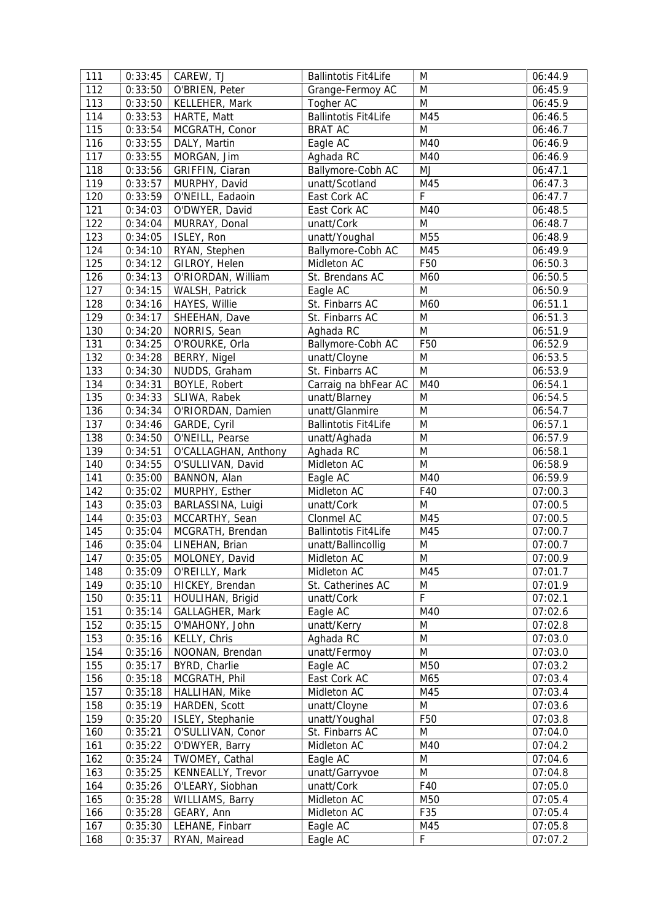| 111 | 0:33:45 | CAREW, TJ                | <b>Ballintotis Fit4Life</b> | M               | 06:44.9 |
|-----|---------|--------------------------|-----------------------------|-----------------|---------|
| 112 | 0:33:50 | O'BRIEN, Peter           | Grange-Fermoy AC            | M               | 06:45.9 |
| 113 | 0:33:50 | KELLEHER, Mark           | Togher AC                   | M               | 06:45.9 |
| 114 | 0:33:53 | HARTE, Matt              | <b>Ballintotis Fit4Life</b> | M45             | 06:46.5 |
| 115 | 0:33:54 | MCGRATH, Conor           | <b>BRAT AC</b>              | M               | 06:46.7 |
| 116 | 0:33:55 | DALY, Martin             | Eagle AC                    | M40             | 06:46.9 |
| 117 | 0:33:55 | MORGAN, Jim              | Aghada RC                   | M40             | 06:46.9 |
| 118 | 0:33:56 | GRIFFIN, Ciaran          | Ballymore-Cobh AC           | MJ              | 06:47.1 |
| 119 | 0:33:57 | MURPHY, David            | unatt/Scotland              | M45             | 06:47.3 |
| 120 | 0:33:59 | O'NEILL, Eadaoin         | East Cork AC                | F               | 06:47.7 |
| 121 | 0:34:03 | O'DWYER, David           | East Cork AC                | M40             | 06:48.5 |
| 122 | 0:34:04 | MURRAY, Donal            | unatt/Cork                  | M               | 06:48.7 |
| 123 | 0:34:05 | ISLEY, Ron               | unatt/Youghal               | M55             | 06:48.9 |
| 124 | 0:34:10 | RYAN, Stephen            | Ballymore-Cobh AC           | M45             | 06:49.9 |
| 125 | 0:34:12 | GILROY, Helen            | Midleton AC                 | F50             | 06:50.3 |
| 126 | 0:34:13 | O'RIORDAN, William       | St. Brendans AC             | M60             | 06:50.5 |
| 127 | 0:34:15 | WALSH, Patrick           | Eagle AC                    | M               | 06:50.9 |
| 128 | 0:34:16 | HAYES, Willie            | St. Finbarrs AC             | M60             | 06:51.1 |
| 129 | 0:34:17 | SHEEHAN, Dave            | St. Finbarrs AC             | M               | 06:51.3 |
| 130 | 0:34:20 | NORRIS, Sean             | Aghada RC                   | M               | 06:51.9 |
| 131 | 0:34:25 | O'ROURKE, Orla           | Ballymore-Cobh AC           | F50             | 06:52.9 |
| 132 | 0:34:28 | BERRY, Nigel             | unatt/Cloyne                | M               | 06:53.5 |
| 133 | 0:34:30 | NUDDS, Graham            | St. Finbarrs AC             | M               | 06:53.9 |
| 134 | 0:34:31 | BOYLE, Robert            | Carraig na bhFear AC        | M40             | 06:54.1 |
| 135 | 0:34:33 | SLIWA, Rabek             | unatt/Blarney               | M               | 06:54.5 |
| 136 | 0:34:34 | O'RIORDAN, Damien        | unatt/Glanmire              | M               | 06:54.7 |
| 137 | 0:34:46 | GARDE, Cyril             | <b>Ballintotis Fit4Life</b> | M               | 06:57.1 |
| 138 | 0:34:50 | O'NEILL, Pearse          | unatt/Aghada                | M               | 06:57.9 |
| 139 | 0:34:51 | O'CALLAGHAN, Anthony     | Aghada RC                   | M               | 06:58.1 |
| 140 | 0:34:55 | O'SULLIVAN, David        | Midleton AC                 | M               | 06:58.9 |
| 141 | 0:35:00 | BANNON, Alan             | Eagle AC                    | M40             | 06:59.9 |
| 142 | 0:35:02 | MURPHY, Esther           | Midleton AC                 | F40             | 07:00.3 |
| 143 | 0:35:03 | BARLASSINA, Luigi        | unatt/Cork                  | M               | 07:00.5 |
| 144 | 0:35:03 | MCCARTHY, Sean           | Clonmel AC                  | M45             | 07:00.5 |
| 145 | 0:35:04 | MCGRATH, Brendan         | <b>Ballintotis Fit4Life</b> | M45             | 07:00.7 |
| 146 | 0:35:04 | LINEHAN, Brian           | unatt/Ballincollig          | M               | 07:00.7 |
| 147 |         | $0:35:05$ MOLONEY, David | Midleton AC                 | M               | 07:00.9 |
| 148 | 0:35:09 | O'REILLY, Mark           | Midleton AC                 | M45             | 07:01.7 |
| 149 | 0:35:10 | HICKEY, Brendan          | St. Catherines AC           | M               | 07:01.9 |
| 150 | 0:35:11 | HOULIHAN, Brigid         | unatt/Cork                  | F               | 07:02.1 |
| 151 | 0:35:14 | GALLAGHER, Mark          | Eagle AC                    | M40             | 07:02.6 |
| 152 | 0:35:15 | O'MAHONY, John           | unatt/Kerry                 | M               | 07:02.8 |
| 153 | 0:35:16 | KELLY, Chris             | Aghada RC                   | ${\sf M}$       | 07:03.0 |
| 154 | 0:35:16 | NOONAN, Brendan          | unatt/Fermoy                | ${\sf M}$       | 07:03.0 |
| 155 | 0:35:17 | BYRD, Charlie            | Eagle AC                    | M50             | 07:03.2 |
| 156 | 0:35:18 | MCGRATH, Phil            | East Cork AC                | M65             | 07:03.4 |
| 157 | 0:35:18 | HALLIHAN, Mike           | Midleton AC                 | M45             | 07:03.4 |
| 158 | 0:35:19 | HARDEN, Scott            | unatt/Cloyne                | M               | 07:03.6 |
| 159 | 0:35:20 | ISLEY, Stephanie         | unatt/Youghal               | F <sub>50</sub> | 07:03.8 |
| 160 | 0:35:21 | O'SULLIVAN, Conor        | St. Finbarrs AC             | M               | 07:04.0 |
| 161 | 0:35:22 | O'DWYER, Barry           | Midleton AC                 | M40             | 07:04.2 |
| 162 | 0:35:24 | TWOMEY, Cathal           | Eagle AC                    | M               | 07:04.6 |
| 163 | 0:35:25 | KENNEALLY, Trevor        | unatt/Garryvoe              | M               | 07:04.8 |
| 164 | 0:35:26 | O'LEARY, Siobhan         | unatt/Cork                  | F40             | 07:05.0 |
| 165 | 0:35:28 | WILLIAMS, Barry          | Midleton AC                 | M50             | 07:05.4 |
| 166 | 0:35:28 | GEARY, Ann               | Midleton AC                 | F35             | 07:05.4 |
| 167 | 0:35:30 | LEHANE, Finbarr          | Eagle AC                    | M45             | 07:05.8 |
|     |         |                          |                             |                 |         |
| 168 | 0:35:37 | RYAN, Mairead            | Eagle AC                    | $\mathsf F$     | 07:07.2 |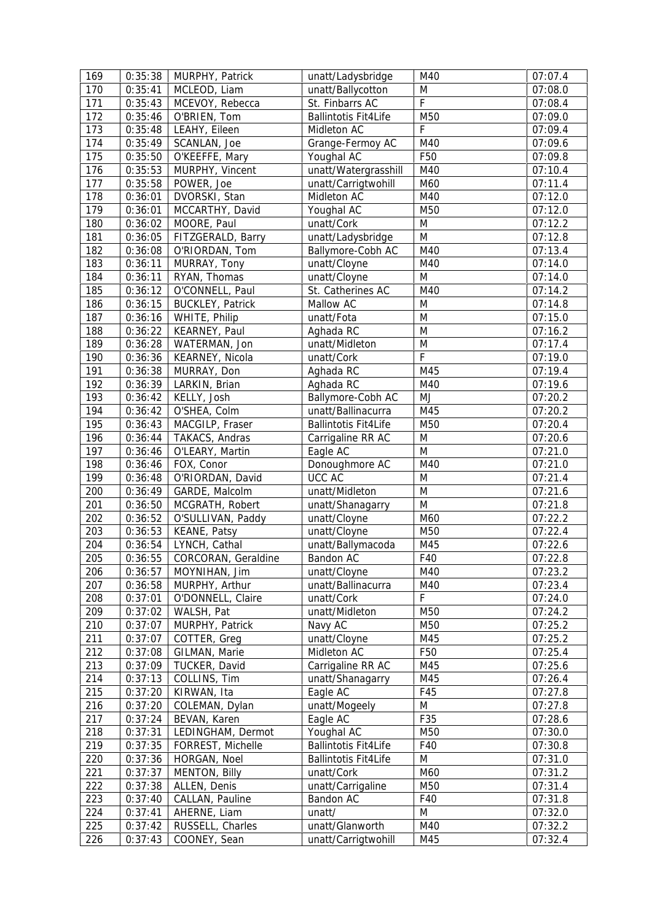| 169 | 0:35:38 | MURPHY, Patrick         | unatt/Ladysbridge           | M40         | 07:07.4 |
|-----|---------|-------------------------|-----------------------------|-------------|---------|
| 170 | 0:35:41 | MCLEOD, Liam            | unatt/Ballycotton           | M           | 07:08.0 |
| 171 | 0:35:43 | MCEVOY, Rebecca         | St. Finbarrs AC             | $\mathsf F$ | 07:08.4 |
| 172 | 0:35:46 | O'BRIEN, Tom            | <b>Ballintotis Fit4Life</b> | M50         | 07:09.0 |
| 173 | 0:35:48 | LEAHY, Eileen           | Midleton AC                 | F           | 07:09.4 |
| 174 | 0:35:49 | SCANLAN, Joe            | Grange-Fermoy AC            | M40         | 07:09.6 |
| 175 | 0:35:50 | O'KEEFFE, Mary          | Youghal AC                  | F50         | 07:09.8 |
| 176 | 0:35:53 | MURPHY, Vincent         | unatt/Watergrasshill        | M40         | 07:10.4 |
| 177 | 0:35:58 | POWER, Joe              | unatt/Carrigtwohill         | M60         | 07:11.4 |
| 178 | 0:36:01 | DVORSKI, Stan           | Midleton AC                 | M40         | 07:12.0 |
| 179 | 0:36:01 | MCCARTHY, David         | Youghal AC                  | M50         | 07:12.0 |
| 180 | 0:36:02 | MOORE, Paul             | unatt/Cork                  | M           | 07:12.2 |
| 181 | 0:36:05 | FITZGERALD, Barry       | unatt/Ladysbridge           | M           | 07:12.8 |
| 182 | 0:36:08 | O'RIORDAN, Tom          | Ballymore-Cobh AC           | M40         | 07:13.4 |
| 183 | 0:36:11 | MURRAY, Tony            | unatt/Cloyne                | M40         | 07:14.0 |
| 184 | 0:36:11 | RYAN, Thomas            | unatt/Cloyne                | M           | 07:14.0 |
| 185 | 0:36:12 | O'CONNELL, Paul         | St. Catherines AC           | M40         | 07:14.2 |
| 186 | 0:36:15 | <b>BUCKLEY, Patrick</b> | Mallow AC                   | M           | 07:14.8 |
| 187 | 0:36:16 | WHITE, Philip           | unatt/Fota                  | M           | 07:15.0 |
| 188 | 0:36:22 | KEARNEY, Paul           | Aghada RC                   | M           | 07:16.2 |
| 189 | 0:36:28 | WATERMAN, Jon           | unatt/Midleton              | M           | 07:17.4 |
| 190 | 0:36:36 | KEARNEY, Nicola         | unatt/Cork                  | F           | 07:19.0 |
| 191 | 0:36:38 | MURRAY, Don             | Aghada RC                   | M45         | 07:19.4 |
| 192 | 0:36:39 | LARKIN, Brian           | Aghada RC                   | M40         | 07:19.6 |
| 193 | 0:36:42 | KELLY, Josh             | Ballymore-Cobh AC           | MJ          | 07:20.2 |
| 194 | 0:36:42 | O'SHEA, Colm            | unatt/Ballinacurra          | M45         | 07:20.2 |
| 195 | 0:36:43 | MACGILP, Fraser         | <b>Ballintotis Fit4Life</b> | M50         | 07:20.4 |
| 196 | 0:36:44 | TAKACS, Andras          | Carrigaline RR AC           | M           | 07:20.6 |
| 197 | 0:36:46 | O'LEARY, Martin         | Eagle AC                    | M           | 07:21.0 |
| 198 | 0:36:46 | FOX, Conor              | Donoughmore AC              | M40         | 07:21.0 |
| 199 | 0:36:48 | O'RIORDAN, David        | UCC AC                      | M           | 07:21.4 |
| 200 | 0:36:49 | GARDE, Malcolm          | unatt/Midleton              | M           | 07:21.6 |
| 201 | 0:36:50 | MCGRATH, Robert         | unatt/Shanagarry            | M           | 07:21.8 |
| 202 | 0:36:52 | O'SULLIVAN, Paddy       | unatt/Cloyne                | M60         | 07:22.2 |
| 203 | 0:36:53 | KEANE, Patsy            | unatt/Cloyne                | M50         | 07:22.4 |
| 204 | 0:36:54 | LYNCH, Cathal           | unatt/Ballymacoda           | M45         | 07:22.6 |
| 205 | 0:36:55 | CORCORAN, Geraldine     | Bandon AC                   | F40         | 07:22.8 |
| 206 | 0:36:57 | MOYNIHAN, Jim           | unatt/Cloyne                | M40         | 07:23.2 |
| 207 | 0:36:58 | MURPHY, Arthur          | unatt/Ballinacurra          | M40         | 07:23.4 |
| 208 | 0:37:01 | O'DONNELL, Claire       | unatt/Cork                  | F           | 07:24.0 |
| 209 | 0:37:02 | WALSH, Pat              | unatt/Midleton              | M50         | 07:24.2 |
| 210 | 0:37:07 | MURPHY, Patrick         | Navy AC                     | M50         | 07:25.2 |
| 211 | 0:37:07 | COTTER, Greg            | unatt/Cloyne                | M45         | 07:25.2 |
| 212 | 0:37:08 | GILMAN, Marie           | Midleton AC                 | F50         | 07:25.4 |
| 213 | 0:37:09 | TUCKER, David           | Carrigaline RR AC           | M45         | 07:25.6 |
| 214 | 0:37:13 | COLLINS, Tim            | unatt/Shanagarry            | M45         | 07:26.4 |
| 215 | 0:37:20 | KIRWAN, Ita             | Eagle AC                    | F45         | 07:27.8 |
| 216 | 0:37:20 | COLEMAN, Dylan          | unatt/Mogeely               | M           | 07:27.8 |
| 217 | 0:37:24 | BEVAN, Karen            | Eagle AC                    | F35         | 07:28.6 |
| 218 | 0:37:31 | LEDINGHAM, Dermot       | Youghal AC                  | M50         | 07:30.0 |
| 219 | 0:37:35 | FORREST, Michelle       | <b>Ballintotis Fit4Life</b> | F40         | 07:30.8 |
| 220 | 0:37:36 | HORGAN, Noel            | <b>Ballintotis Fit4Life</b> | M           | 07:31.0 |
| 221 | 0:37:37 | MENTON, Billy           | unatt/Cork                  | M60         | 07:31.2 |
| 222 | 0:37:38 | ALLEN, Denis            | unatt/Carrigaline           | M50         | 07:31.4 |
| 223 | 0:37:40 | CALLAN, Pauline         | Bandon AC                   | F40         | 07:31.8 |
| 224 | 0:37:41 | AHERNE, Liam            | unatt/                      | M           | 07:32.0 |
| 225 | 0:37:42 | RUSSELL, Charles        | unatt/Glanworth             | M40         | 07:32.2 |
| 226 | 0:37:43 | COONEY, Sean            | unatt/Carrigtwohill         | M45         | 07:32.4 |
|     |         |                         |                             |             |         |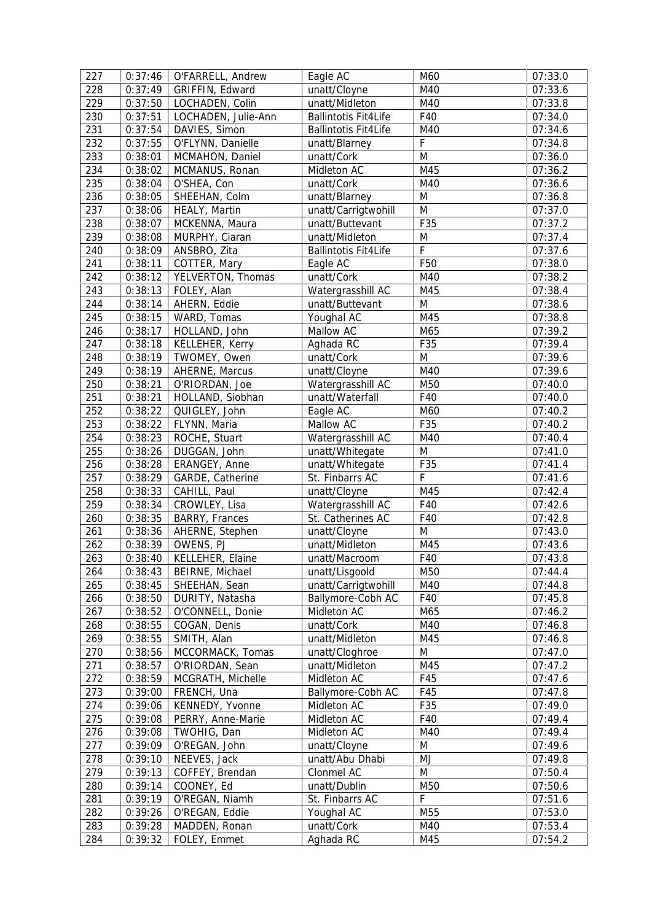| 227 | 0:37:46 | O'FARRELL, Andrew   | Eagle AC                    | M60         | 07:33.0 |
|-----|---------|---------------------|-----------------------------|-------------|---------|
| 228 | 0:37:49 | GRIFFIN, Edward     | unatt/Cloyne                | M40         | 07:33.6 |
| 229 | 0:37:50 | LOCHADEN, Colin     | unatt/Midleton              | M40         | 07:33.8 |
| 230 | 0:37:51 | LOCHADEN, Julie-Ann | <b>Ballintotis Fit4Life</b> | F40         | 07:34.0 |
| 231 | 0:37:54 | DAVIES, Simon       | <b>Ballintotis Fit4Life</b> | M40         | 07:34.6 |
| 232 | 0:37:55 | O'FLYNN, Danielle   | unatt/Blarney               | F           | 07:34.8 |
| 233 | 0:38:01 | MCMAHON, Daniel     | unatt/Cork                  | M           | 07:36.0 |
| 234 | 0:38:02 | MCMANUS, Ronan      | Midleton AC                 | M45         | 07:36.2 |
| 235 | 0:38:04 | O'SHEA, Con         | unatt/Cork                  | M40         | 07:36.6 |
| 236 | 0:38:05 | SHEEHAN, Colm       | unatt/Blarney               | M           | 07:36.8 |
| 237 | 0:38:06 | HEALY, Martin       | unatt/Carrigtwohill         | ${\sf M}$   | 07:37.0 |
| 238 | 0:38:07 | MCKENNA, Maura      | unatt/Buttevant             | F35         | 07:37.2 |
| 239 | 0:38:08 | MURPHY, Ciaran      | unatt/Midleton              | M           | 07:37.4 |
| 240 | 0:38:09 | ANSBRO, Zita        | <b>Ballintotis Fit4Life</b> | $\mathsf F$ | 07:37.6 |
| 241 | 0:38:11 | COTTER, Mary        | Eagle AC                    | F50         | 07:38.0 |
| 242 | 0:38:12 | YELVERTON, Thomas   | unatt/Cork                  | M40         | 07:38.2 |
| 243 | 0:38:13 | FOLEY, Alan         | Watergrasshill AC           | M45         | 07:38.4 |
| 244 | 0:38:14 | AHERN, Eddie        | unatt/Buttevant             | M           | 07:38.6 |
| 245 | 0:38:15 | WARD, Tomas         | Youghal AC                  | M45         | 07:38.8 |
| 246 | 0:38:17 | HOLLAND, John       | Mallow AC                   | M65         | 07:39.2 |
| 247 | 0:38:18 | KELLEHER, Kerry     | Aghada RC                   | F35         | 07:39.4 |
| 248 | 0:38:19 | TWOMEY, Owen        | unatt/Cork                  | ${\sf M}$   | 07:39.6 |
| 249 | 0:38:19 | AHERNE, Marcus      | unatt/Cloyne                | M40         | 07:39.6 |
| 250 |         |                     | Watergrasshill AC           | M50         | 07:40.0 |
| 251 | 0:38:21 | O'RIORDAN, Joe      | unatt/Waterfall             | F40         | 07:40.0 |
| 252 | 0:38:21 | HOLLAND, Siobhan    |                             | M60         |         |
|     | 0:38:22 | QUIGLEY, John       | Eagle AC<br>Mallow AC       |             | 07:40.2 |
| 253 | 0:38:22 | FLYNN, Maria        |                             | F35         | 07:40.2 |
| 254 | 0:38:23 | ROCHE, Stuart       | Watergrasshill AC           | M40         | 07:40.4 |
| 255 | 0:38:26 | DUGGAN, John        | unatt/Whitegate             | M           | 07:41.0 |
| 256 | 0:38:28 | ERANGEY, Anne       | unatt/Whitegate             | F35         | 07:41.4 |
| 257 | 0:38:29 | GARDE, Catherine    | St. Finbarrs AC             | F           | 07:41.6 |
| 258 | 0:38:33 | CAHILL, Paul        | unatt/Cloyne                | M45         | 07:42.4 |
| 259 | 0:38:34 | CROWLEY, Lisa       | Watergrasshill AC           | F40         | 07:42.6 |
| 260 | 0:38:35 | BARRY, Frances      | St. Catherines AC           | F40         | 07:42.8 |
| 261 | 0:38:36 | AHERNE, Stephen     | unatt/Cloyne                | ${\sf M}$   | 07:43.0 |
| 262 | 0:38:39 | OWENS, PJ           | unatt/Midleton              | M45         | 07:43.6 |
| 263 | 0:38:40 | KELLEHER, Elaine    | unatt/Macroom               | F40         | 07:43.8 |
| 264 | 0:38:43 | BEIRNE, Michael     | unatt/Lisgoold              | M50         | 07:44.4 |
| 265 | 0:38:45 | SHEEHAN, Sean       | unatt/Carrigtwohill         | M40         | 07:44.8 |
| 266 | 0:38:50 | DURITY, Natasha     | Ballymore-Cobh AC           | F40         | 07:45.8 |
| 267 | 0:38:52 | O'CONNELL, Donie    | Midleton AC                 | M65         | 07:46.2 |
| 268 | 0:38:55 | COGAN, Denis        | unatt/Cork                  | M40         | 07:46.8 |
| 269 | 0:38:55 | SMITH, Alan         | unatt/Midleton              | M45         | 07:46.8 |
| 270 | 0:38:56 | MCCORMACK, Tomas    | unatt/Cloghroe              | M           | 07:47.0 |
| 271 | 0:38:57 | O'RIORDAN, Sean     | unatt/Midleton              | M45         | 07:47.2 |
| 272 | 0:38:59 | MCGRATH, Michelle   | Midleton AC                 | F45         | 07:47.6 |
| 273 | 0:39:00 | FRENCH, Una         | Ballymore-Cobh AC           | F45         | 07:47.8 |
| 274 | 0:39:06 | KENNEDY, Yvonne     | Midleton AC                 | F35         | 07:49.0 |
| 275 | 0:39:08 | PERRY, Anne-Marie   | Midleton AC                 | F40         | 07:49.4 |
| 276 | 0:39:08 | TWOHIG, Dan         | Midleton AC                 | M40         | 07:49.4 |
| 277 | 0:39:09 | O'REGAN, John       | unatt/Cloyne                | M           | 07:49.6 |
| 278 | 0:39:10 | NEEVES, Jack        | unatt/Abu Dhabi             | MJ          | 07:49.8 |
| 279 | 0:39:13 | COFFEY, Brendan     | Clonmel AC                  | M           | 07:50.4 |
| 280 | 0:39:14 | COONEY, Ed          | unatt/Dublin                | M50         | 07:50.6 |
| 281 | 0:39:19 | O'REGAN, Niamh      | St. Finbarrs AC             | F           | 07:51.6 |
| 282 | 0:39:26 | O'REGAN, Eddie      | Youghal AC                  | M55         | 07:53.0 |
| 283 | 0:39:28 | MADDEN, Ronan       | unatt/Cork                  | M40         | 07:53.4 |
| 284 | 0:39:32 | FOLEY, Emmet        | Aghada RC                   | M45         | 07:54.2 |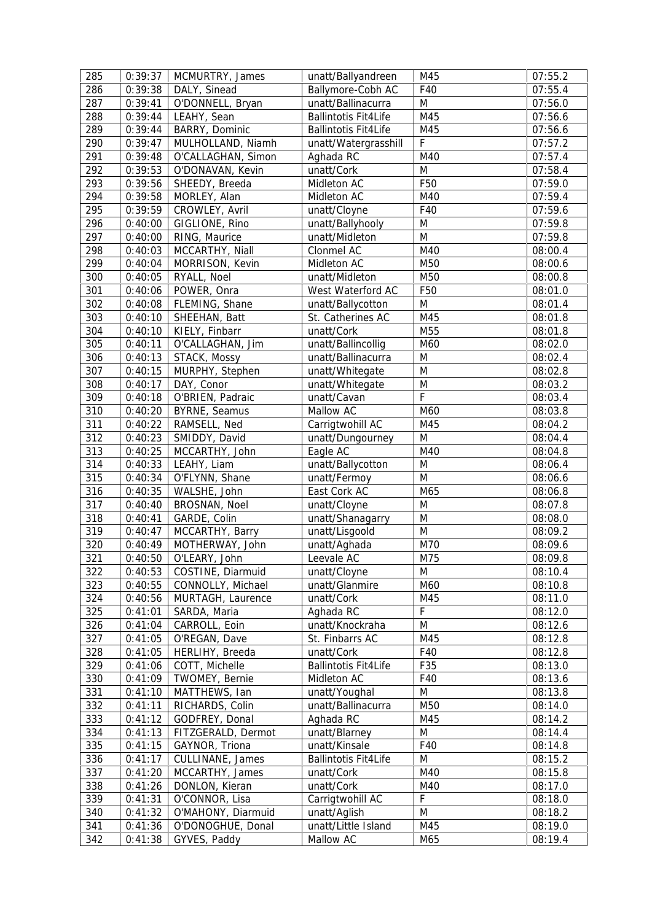| 285 | 0:39:37 | MCMURTRY, James    | unatt/Ballyandreen          | M45         | 07:55.2 |
|-----|---------|--------------------|-----------------------------|-------------|---------|
| 286 | 0:39:38 | DALY, Sinead       | Ballymore-Cobh AC           | F40         | 07:55.4 |
| 287 | 0:39:41 | O'DONNELL, Bryan   | unatt/Ballinacurra          | M           | 07:56.0 |
| 288 | 0:39:44 | LEAHY, Sean        | <b>Ballintotis Fit4Life</b> | M45         | 07:56.6 |
| 289 | 0:39:44 | BARRY, Dominic     | <b>Ballintotis Fit4Life</b> | M45         | 07:56.6 |
| 290 | 0:39:47 | MULHOLLAND, Niamh  | unatt/Watergrasshill        | F           | 07:57.2 |
| 291 | 0:39:48 | O'CALLAGHAN, Simon | Aghada RC                   | M40         | 07:57.4 |
| 292 | 0:39:53 | O'DONAVAN, Kevin   | unatt/Cork                  | M           | 07:58.4 |
| 293 | 0:39:56 | SHEEDY, Breeda     | Midleton AC                 | F50         | 07:59.0 |
| 294 | 0:39:58 | MORLEY, Alan       | Midleton AC                 | M40         | 07:59.4 |
| 295 | 0:39:59 | CROWLEY, Avril     | unatt/Cloyne                | F40         | 07:59.6 |
| 296 | 0:40:00 | GIGLIONE, Rino     | unatt/Ballyhooly            | M           | 07:59.8 |
| 297 | 0:40:00 | RING, Maurice      | unatt/Midleton              | M           | 07:59.8 |
| 298 | 0:40:03 | MCCARTHY, Niall    | Clonmel AC                  | M40         | 08:00.4 |
| 299 | 0:40:04 | MORRISON, Kevin    | Midleton AC                 | M50         | 08:00.6 |
| 300 | 0:40:05 | RYALL, Noel        | unatt/Midleton              | M50         | 08:00.8 |
| 301 | 0:40:06 | POWER, Onra        | West Waterford AC           | F50         | 08:01.0 |
| 302 | 0:40:08 | FLEMING, Shane     | unatt/Ballycotton           | M           | 08:01.4 |
| 303 | 0:40:10 | SHEEHAN, Batt      | St. Catherines AC           | M45         | 08:01.8 |
| 304 | 0:40:10 | KIELY, Finbarr     | unatt/Cork                  | M55         | 08:01.8 |
| 305 | 0:40:11 | O'CALLAGHAN, Jim   | unatt/Ballincollig          | M60         | 08:02.0 |
| 306 | 0:40:13 | STACK, Mossy       | unatt/Ballinacurra          | M           | 08:02.4 |
| 307 | 0:40:15 | MURPHY, Stephen    | unatt/Whitegate             | M           | 08:02.8 |
| 308 | 0:40:17 | DAY, Conor         | unatt/Whitegate             | M           | 08:03.2 |
| 309 | 0:40:18 | O'BRIEN, Padraic   | unatt/Cavan                 | F           | 08:03.4 |
| 310 | 0:40:20 | BYRNE, Seamus      | Mallow AC                   | M60         | 08:03.8 |
| 311 | 0:40:22 | RAMSELL, Ned       | Carrigtwohill AC            | M45         | 08:04.2 |
| 312 | 0:40:23 | SMIDDY, David      | unatt/Dungourney            | M           | 08:04.4 |
| 313 | 0:40:25 | MCCARTHY, John     | Eagle AC                    | M40         | 08:04.8 |
| 314 | 0:40:33 | LEAHY, Liam        | unatt/Ballycotton           | M           | 08:06.4 |
| 315 | 0:40:34 | O'FLYNN, Shane     | unatt/Fermoy                | M           | 08:06.6 |
| 316 | 0:40:35 | WALSHE, John       | East Cork AC                | M65         | 08:06.8 |
| 317 | 0:40:40 | BROSNAN, Noel      | unatt/Cloyne                | M           | 08:07.8 |
| 318 | 0:40:41 | GARDE, Colin       | unatt/Shanagarry            | M           | 08:08.0 |
| 319 | 0:40:47 | MCCARTHY, Barry    | unatt/Lisgoold              | ${\sf M}$   | 08:09.2 |
| 320 | 0:40:49 | MOTHERWAY, John    | unatt/Aghada                | M70         | 08:09.6 |
| 321 | 0:40:50 | O'LEARY, John      | Leevale AC                  | M75         | 08:09.8 |
| 322 | 0:40:53 | COSTINE, Diarmuid  | unatt/Cloyne                | M           | 08:10.4 |
| 323 | 0:40:55 | CONNOLLY, Michael  | unatt/Glanmire              | M60         | 08:10.8 |
| 324 | 0:40:56 | MURTAGH, Laurence  | unatt/Cork                  | M45         | 08:11.0 |
| 325 | 0:41:01 | SARDA, Maria       | Aghada RC                   | $\mathsf F$ | 08:12.0 |
| 326 | 0:41:04 | CARROLL, Eoin      | unatt/Knockraha             | M           | 08:12.6 |
| 327 | 0:41:05 | O'REGAN, Dave      | St. Finbarrs AC             | M45         | 08:12.8 |
| 328 | 0:41:05 | HERLIHY, Breeda    | unatt/Cork                  | F40         | 08:12.8 |
| 329 | 0:41:06 | COTT, Michelle     | <b>Ballintotis Fit4Life</b> | F35         | 08:13.0 |
| 330 | 0:41:09 | TWOMEY, Bernie     | Midleton AC                 | F40         | 08:13.6 |
| 331 | 0:41:10 | MATTHEWS, Ian      | unatt/Youghal               | M           | 08:13.8 |
| 332 | 0:41:11 | RICHARDS, Colin    | unatt/Ballinacurra          | M50         | 08:14.0 |
| 333 | 0:41:12 | GODFREY, Donal     | Aghada RC                   | M45         | 08:14.2 |
| 334 | 0:41:13 | FITZGERALD, Dermot | unatt/Blarney               | M           | 08:14.4 |
| 335 | 0:41:15 | GAYNOR, Triona     | unatt/Kinsale               | F40         | 08:14.8 |
| 336 | 0:41:17 | CULLINANE, James   | <b>Ballintotis Fit4Life</b> | M           | 08:15.2 |
| 337 | 0:41:20 | MCCARTHY, James    | unatt/Cork                  | M40         | 08:15.8 |
| 338 | 0:41:26 | DONLON, Kieran     | unatt/Cork                  | M40         | 08:17.0 |
| 339 | 0:41:31 | O'CONNOR, Lisa     | Carrigtwohill AC            | F           | 08:18.0 |
| 340 | 0:41:32 | O'MAHONY, Diarmuid | unatt/Aglish                | M           | 08:18.2 |
| 341 | 0:41:36 | O'DONOGHUE, Donal  | unatt/Little Island         | M45         | 08:19.0 |
| 342 | 0:41:38 | GYVES, Paddy       | Mallow AC                   | M65         | 08:19.4 |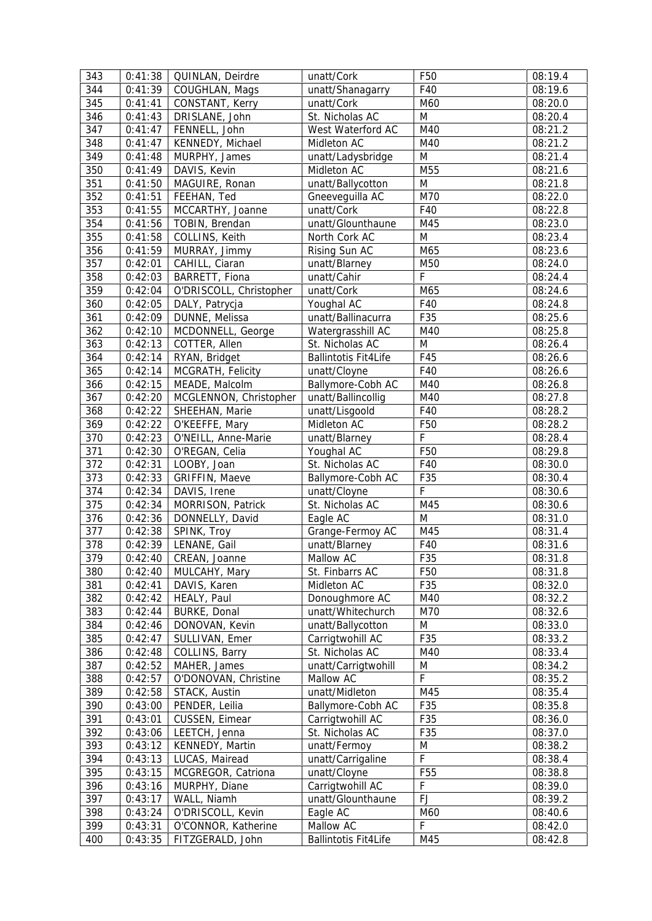| 343        | 0:41:38            | QUINLAN, Deirdre                        | unatt/Cork                               | F <sub>50</sub> | 08:19.4            |
|------------|--------------------|-----------------------------------------|------------------------------------------|-----------------|--------------------|
| 344        | 0:41:39            | COUGHLAN, Mags                          | unatt/Shanagarry                         | F40             | 08:19.6            |
| 345        | 0:41:41            | CONSTANT, Kerry                         | unatt/Cork                               | M60             | 08:20.0            |
| 346        | 0:41:43            | DRISLANE, John                          | St. Nicholas AC                          | M               | 08:20.4            |
| 347        | 0:41:47            | FENNELL, John                           | West Waterford AC                        | M40             | 08:21.2            |
| 348        | 0:41:47            | KENNEDY, Michael                        | Midleton AC                              | M40             | 08:21.2            |
| 349        | 0:41:48            | MURPHY, James                           | unatt/Ladysbridge                        | M               | 08:21.4            |
| 350        | 0:41:49            | DAVIS, Kevin                            | Midleton AC                              | M55             | 08:21.6            |
| 351        | 0:41:50            | MAGUIRE, Ronan                          | unatt/Ballycotton                        | ${\sf M}$       | 08:21.8            |
| 352        | 0:41:51            | FEEHAN, Ted                             | Gneeveguilla AC                          | M70             | 08:22.0            |
| 353        | 0:41:55            | MCCARTHY, Joanne                        | unatt/Cork                               | F40             | 08:22.8            |
| 354        | 0:41:56            | TOBIN, Brendan                          | unatt/Glounthaune                        | M45             | 08:23.0            |
| 355        | 0:41:58            | COLLINS, Keith                          | North Cork AC                            | M               | 08:23.4            |
| 356        | 0:41:59            | MURRAY, Jimmy                           | Rising Sun AC                            | M65             | 08:23.6            |
| 357        | 0:42:01            | CAHILL, Ciaran                          | unatt/Blarney                            | M50             | 08:24.0            |
| 358        | 0:42:03            | BARRETT, Fiona                          | unatt/Cahir                              | F               | 08:24.4            |
| 359        | 0:42:04            | O'DRISCOLL, Christopher                 | unatt/Cork                               | M65             | 08:24.6            |
| 360        | 0:42:05            | DALY, Patrycja                          | Youghal AC                               | F40             | 08:24.8            |
| 361        | 0:42:09            | DUNNE, Melissa                          | unatt/Ballinacurra                       | F35             | 08:25.6            |
| 362        | 0:42:10            | MCDONNELL, George                       | Watergrasshill AC                        | M40             | 08:25.8            |
| 363        | 0:42:13            | COTTER, Allen                           | St. Nicholas AC                          | ${\sf M}$       | 08:26.4            |
| 364        | 0:42:14            | RYAN, Bridget                           | <b>Ballintotis Fit4Life</b>              | F45             | 08:26.6            |
| 365        | 0:42:14            | MCGRATH, Felicity                       | unatt/Cloyne                             | F40             | 08:26.6            |
| 366        | 0:42:15            | MEADE, Malcolm                          | Ballymore-Cobh AC                        | M40             | 08:26.8            |
| 367        | 0:42:20            | MCGLENNON, Christopher                  | unatt/Ballincollig                       | M40             | 08:27.8            |
| 368        | 0:42:22            | SHEEHAN, Marie                          | unatt/Lisgoold                           | F40             | 08:28.2            |
| 369        | 0:42:22            | O'KEEFFE, Mary                          | Midleton AC                              | F50             | 08:28.2            |
| 370        | 0:42:23            | O'NEILL, Anne-Marie                     | unatt/Blarney                            | F               | 08:28.4            |
| 371        | 0:42:30            | O'REGAN, Celia                          | Youghal AC                               | F50             | 08:29.8            |
| 372        | 0:42:31            | LOOBY, Joan                             | St. Nicholas AC                          | F40             | 08:30.0            |
| 373        | 0:42:33            | GRIFFIN, Maeve                          | Ballymore-Cobh AC                        | F35             | 08:30.4            |
| 374        | 0:42:34            | DAVIS, Irene                            | unatt/Cloyne                             | F               | 08:30.6            |
|            |                    |                                         |                                          |                 |                    |
| 375        | 0:42:34            | MORRISON, Patrick                       | St. Nicholas AC                          | M45             | 08:30.6            |
| 376        | 0:42:36            | DONNELLY, David                         | Eagle AC                                 | ${\sf M}$       | 08:31.0            |
| 377        | 0:42:38            | SPINK, Troy                             | Grange-Fermoy AC                         | M45             | 08:31.4            |
| 378        | 0:42:39            | LENANE, Gail                            | unatt/Blarney                            | F40             | 08:31.6            |
| 379        | 0:42:40            | CREAN, Joanne                           | Mallow AC                                | F35             | 08:31.8            |
| 380        | 0:42:40            | MULCAHY, Mary                           | St. Finbarrs AC                          | F <sub>50</sub> | 08:31.8            |
| 381        | 0:42:41            | DAVIS, Karen                            | Midleton AC                              | F35             | 08:32.0            |
| 382        | 0:42:42            | HEALY, Paul                             | Donoughmore AC                           | M40             | 08:32.2            |
| 383        | 0:42:44            | BURKE, Donal                            | unatt/Whitechurch                        | M70             | 08:32.6            |
| 384        | 0:42:46            | DONOVAN, Kevin                          | unatt/Ballycotton                        | M               | 08:33.0            |
| 385        | 0:42:47            | SULLIVAN, Emer                          | Carrigtwohill AC                         | F35             | 08:33.2            |
| 386        | 0:42:48            | COLLINS, Barry                          | St. Nicholas AC                          | M40             | 08:33.4            |
| 387        | 0:42:52            | MAHER, James                            | unatt/Carrigtwohill                      | M               | 08:34.2            |
| 388        | 0:42:57            | O'DONOVAN, Christine                    | Mallow AC                                | F               | 08:35.2            |
| 389        | 0:42:58            | STACK, Austin                           | unatt/Midleton                           | M45             | 08:35.4            |
| 390        | 0:43:00            | PENDER, Leilia                          | Ballymore-Cobh AC                        | F35             | 08:35.8            |
| 391        | 0:43:01            | CUSSEN, Eimear                          | Carrigtwohill AC                         | F35             | 08:36.0            |
| 392        | 0:43:06            | LEETCH, Jenna                           | St. Nicholas AC                          | F35             | 08:37.0            |
| 393        | 0:43:12            | KENNEDY, Martin                         | unatt/Fermoy                             | M               | 08:38.2            |
| 394        | 0:43:13            | LUCAS, Mairead                          | unatt/Carrigaline                        | $\mathsf F$     | 08:38.4            |
| 395        | 0:43:15            | MCGREGOR, Catriona                      | unatt/Cloyne                             | F <sub>55</sub> | 08:38.8            |
| 396        | 0:43:16            | MURPHY, Diane                           | Carrigtwohill AC                         | F               | 08:39.0            |
| 397        | 0:43:17            | WALL, Niamh                             | unatt/Glounthaune                        | <b>FJ</b>       | 08:39.2            |
| 398        | 0:43:24            | O'DRISCOLL, Kevin                       | Eagle AC                                 | M60             | 08:40.6            |
| 399<br>400 | 0:43:31<br>0:43:35 | O'CONNOR, Katherine<br>FITZGERALD, John | Mallow AC<br><b>Ballintotis Fit4Life</b> | F<br>M45        | 08:42.0<br>08:42.8 |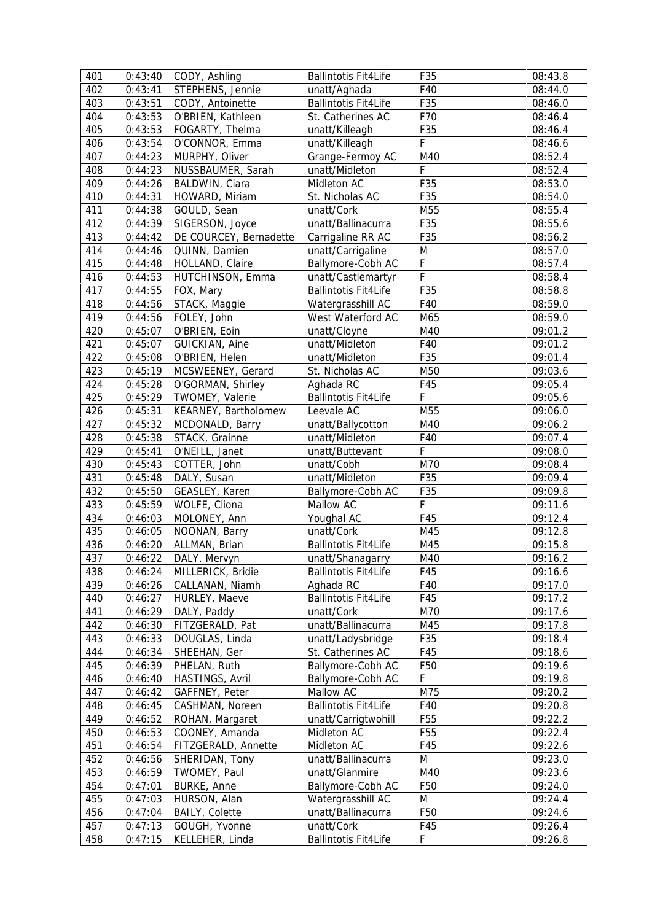| 401 | 0:43:40 | CODY, Ashling          | <b>Ballintotis Fit4Life</b> | F35             | 08:43.8 |
|-----|---------|------------------------|-----------------------------|-----------------|---------|
| 402 | 0:43:41 | STEPHENS, Jennie       | unatt/Aghada                | F40             | 08:44.0 |
| 403 | 0:43:51 | CODY, Antoinette       | <b>Ballintotis Fit4Life</b> | F35             | 08:46.0 |
| 404 | 0:43:53 | O'BRIEN, Kathleen      | St. Catherines AC           | F70             | 08:46.4 |
| 405 | 0:43:53 | FOGARTY, Thelma        | unatt/Killeagh              | F35             | 08:46.4 |
| 406 | 0:43:54 | O'CONNOR, Emma         | unatt/Killeagh              | F               | 08:46.6 |
| 407 | 0:44:23 | MURPHY, Oliver         | Grange-Fermoy AC            | M40             | 08:52.4 |
| 408 | 0:44:23 | NUSSBAUMER, Sarah      | unatt/Midleton              | $\mathsf F$     | 08:52.4 |
| 409 | 0:44:26 | BALDWIN, Ciara         | Midleton AC                 | F35             | 08:53.0 |
| 410 | 0:44:31 | HOWARD, Miriam         | St. Nicholas AC             | F35             | 08:54.0 |
| 411 | 0:44:38 | GOULD, Sean            | unatt/Cork                  | M55             | 08:55.4 |
| 412 | 0:44:39 | SIGERSON, Joyce        | unatt/Ballinacurra          | F35             | 08:55.6 |
| 413 | 0:44:42 | DE COURCEY, Bernadette | Carrigaline RR AC           | F35             | 08:56.2 |
| 414 | 0:44:46 | QUINN, Damien          |                             | M               |         |
|     |         |                        | unatt/Carrigaline           | $\mathsf F$     | 08:57.0 |
| 415 | 0:44:48 | HOLLAND, Claire        | Ballymore-Cobh AC           | $\overline{F}$  | 08:57.4 |
| 416 | 0:44:53 | HUTCHINSON, Emma       | unatt/Castlemartyr          |                 | 08:58.4 |
| 417 | 0:44:55 | FOX, Mary              | <b>Ballintotis Fit4Life</b> | F35             | 08:58.8 |
| 418 | 0:44:56 | STACK, Maggie          | Watergrasshill AC           | F40             | 08:59.0 |
| 419 | 0:44:56 | FOLEY, John            | West Waterford AC           | M65             | 08:59.0 |
| 420 | 0:45:07 | O'BRIEN, Eoin          | unatt/Cloyne                | M40             | 09:01.2 |
| 421 | 0:45:07 | GUICKIAN, Aine         | unatt/Midleton              | F40             | 09:01.2 |
| 422 | 0:45:08 | O'BRIEN, Helen         | unatt/Midleton              | F35             | 09:01.4 |
| 423 | 0:45:19 | MCSWEENEY, Gerard      | St. Nicholas AC             | M50             | 09:03.6 |
| 424 | 0:45:28 | O'GORMAN, Shirley      | Aghada RC                   | F45             | 09:05.4 |
| 425 | 0:45:29 | TWOMEY, Valerie        | <b>Ballintotis Fit4Life</b> | F               | 09:05.6 |
| 426 | 0:45:31 | KEARNEY, Bartholomew   | Leevale AC                  | M55             | 09:06.0 |
| 427 | 0:45:32 | MCDONALD, Barry        | unatt/Ballycotton           | M40             | 09:06.2 |
| 428 | 0:45:38 | STACK, Grainne         | unatt/Midleton              | F40             | 09:07.4 |
| 429 | 0:45:41 | O'NEILL, Janet         | unatt/Buttevant             | F               | 09:08.0 |
| 430 | 0:45:43 | COTTER, John           | unatt/Cobh                  | M70             | 09:08.4 |
| 431 | 0:45:48 | DALY, Susan            | unatt/Midleton              | F35             | 09:09.4 |
| 432 | 0:45:50 | GEASLEY, Karen         | Ballymore-Cobh AC           | F35             | 09:09.8 |
| 433 | 0:45:59 | WOLFE, Cliona          | Mallow AC                   | $\mathsf F$     | 09:11.6 |
| 434 | 0:46:03 | MOLONEY, Ann           | Youghal AC                  | F45             | 09:12.4 |
| 435 | 0:46:05 | NOONAN, Barry          | unatt/Cork                  | M45             | 09:12.8 |
| 436 | 0:46:20 | ALLMAN, Brian          | <b>Ballintotis Fit4Life</b> | M45             | 09:15.8 |
| 437 |         | $0:46:22$ DALY, Mervyn | unatt/Shanagarry            | M40             | 09:16.2 |
| 438 | 0:46:24 | MILLERICK, Bridie      | <b>Ballintotis Fit4Life</b> | F45             | 09:16.6 |
| 439 | 0:46:26 | CALLANAN, Niamh        | Aghada RC                   | F40             | 09:17.0 |
| 440 | 0:46:27 | HURLEY, Maeve          | <b>Ballintotis Fit4Life</b> | F45             | 09:17.2 |
| 441 | 0:46:29 | DALY, Paddy            | unatt/Cork                  | M70             | 09:17.6 |
| 442 | 0:46:30 | FITZGERALD, Pat        | unatt/Ballinacurra          | M45             | 09:17.8 |
| 443 | 0:46:33 | DOUGLAS, Linda         | unatt/Ladysbridge           | F35             | 09:18.4 |
| 444 | 0:46:34 | SHEEHAN, Ger           | St. Catherines AC           | F45             | 09:18.6 |
| 445 | 0:46:39 | PHELAN, Ruth           | Ballymore-Cobh AC           | F <sub>50</sub> | 09:19.6 |
| 446 | 0:46:40 | HASTINGS, Avril        | Ballymore-Cobh AC           | $\mathsf F$     | 09:19.8 |
| 447 | 0:46:42 | GAFFNEY, Peter         | Mallow AC                   | M75             | 09:20.2 |
| 448 | 0:46:45 | CASHMAN, Noreen        | <b>Ballintotis Fit4Life</b> | F40             | 09:20.8 |
| 449 | 0:46:52 |                        | unatt/Carrigtwohill         | F <sub>55</sub> | 09:22.2 |
| 450 |         | ROHAN, Margaret        | Midleton AC                 | F <sub>55</sub> |         |
|     | 0:46:53 | COONEY, Amanda         |                             |                 | 09:22.4 |
| 451 | 0:46:54 | FITZGERALD, Annette    | Midleton AC                 | F45             | 09:22.6 |
| 452 | 0:46:56 | SHERIDAN, Tony         | unatt/Ballinacurra          | M               | 09:23.0 |
| 453 | 0:46:59 | TWOMEY, Paul           | unatt/Glanmire              | M40             | 09:23.6 |
| 454 | 0:47:01 | <b>BURKE, Anne</b>     | Ballymore-Cobh AC           | F50             | 09:24.0 |
| 455 | 0:47:03 | HURSON, Alan           | Watergrasshill AC           | M               | 09:24.4 |
| 456 | 0:47:04 | <b>BAILY, Colette</b>  | unatt/Ballinacurra          | F <sub>50</sub> | 09:24.6 |
| 457 | 0:47:13 | GOUGH, Yvonne          | unatt/Cork                  | F45             | 09:26.4 |
| 458 | 0:47:15 | KELLEHER, Linda        | <b>Ballintotis Fit4Life</b> | $\mathsf F$     | 09:26.8 |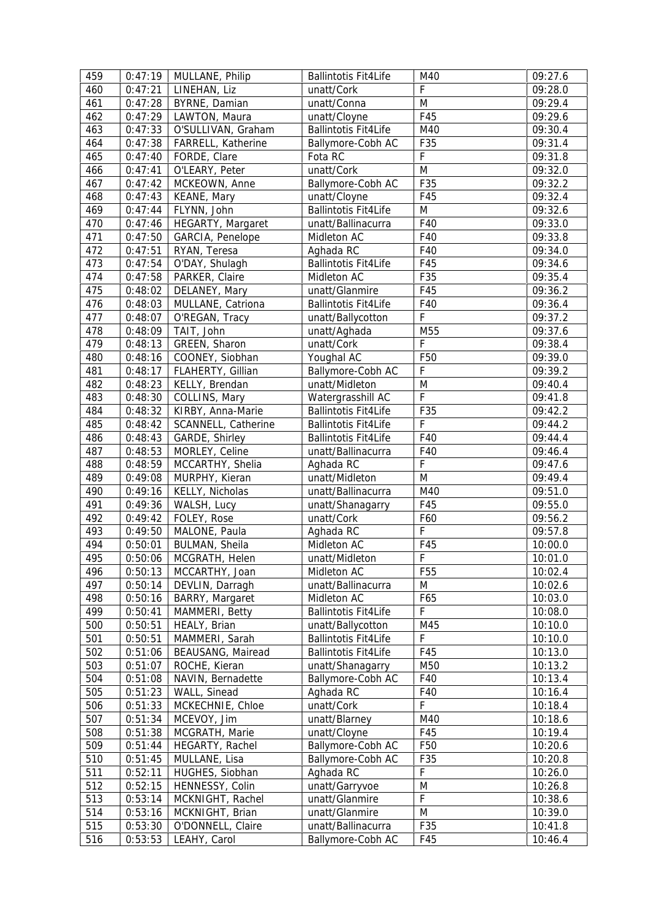| 459 | 0:47:19            | MULLANE, Philip     | <b>Ballintotis Fit4Life</b> | M40                | 09:27.6            |
|-----|--------------------|---------------------|-----------------------------|--------------------|--------------------|
| 460 | 0:47:21            | LINEHAN, Liz        | unatt/Cork                  | F                  | 09:28.0            |
| 461 | 0:47:28            | BYRNE, Damian       | unatt/Conna                 | M                  | 09:29.4            |
| 462 | 0:47:29            | LAWTON, Maura       | unatt/Cloyne                | F45                | 09:29.6            |
| 463 | 0:47:33            | O'SULLIVAN, Graham  | <b>Ballintotis Fit4Life</b> | M40                | 09:30.4            |
| 464 | 0:47:38            | FARRELL, Katherine  | Ballymore-Cobh AC           | F35                | 09:31.4            |
| 465 | 0:47:40            | FORDE, Clare        | Fota RC                     | $\mathsf F$        | 09:31.8            |
| 466 | 0:47:41            | O'LEARY, Peter      | unatt/Cork                  | M                  | 09:32.0            |
| 467 | 0:47:42            | MCKEOWN, Anne       | Ballymore-Cobh AC           | F35                | 09:32.2            |
| 468 | 0:47:43            | KEANE, Mary         | unatt/Cloyne                | F45                | 09:32.4            |
| 469 | 0:47:44            | FLYNN, John         | <b>Ballintotis Fit4Life</b> | M                  | 09:32.6            |
| 470 | 0:47:46            | HEGARTY, Margaret   | unatt/Ballinacurra          | F40                | 09:33.0            |
| 471 | 0:47:50            | GARCIA, Penelope    | Midleton AC                 | F40                | 09:33.8            |
| 472 | 0:47:51            | RYAN, Teresa        | Aghada RC                   | F40                | 09:34.0            |
| 473 | 0:47:54            | O'DAY, Shulagh      | <b>Ballintotis Fit4Life</b> | F45                | 09:34.6            |
| 474 | 0:47:58            | PARKER, Claire      | Midleton AC                 | F35                | 09:35.4            |
| 475 | 0:48:02            | DELANEY, Mary       | unatt/Glanmire              | F45                | 09:36.2            |
| 476 | 0:48:03            | MULLANE, Catriona   | <b>Ballintotis Fit4Life</b> | F40                | 09:36.4            |
| 477 | 0:48:07            | O'REGAN, Tracy      | unatt/Ballycotton           | F                  | 09:37.2            |
| 478 | 0:48:09            | TAIT, John          | unatt/Aghada                | M55                | 09:37.6            |
| 479 | 0:48:13            | GREEN, Sharon       | unatt/Cork                  | F                  | 09:38.4            |
| 480 | 0:48:16            | COONEY, Siobhan     | Youghal AC                  | F50                | 09:39.0            |
| 481 | 0:48:17            | FLAHERTY, Gillian   | Ballymore-Cobh AC           | F                  | 09:39.2            |
| 482 | 0:48:23            | KELLY, Brendan      | unatt/Midleton              | ${\sf M}$          | 09:40.4            |
| 483 | 0:48:30            | COLLINS, Mary       | Watergrasshill AC           | F                  | 09:41.8            |
| 484 | 0:48:32            | KIRBY, Anna-Marie   | <b>Ballintotis Fit4Life</b> | F35                | 09:42.2            |
| 485 | 0:48:42            | SCANNELL, Catherine | <b>Ballintotis Fit4Life</b> | $\mathsf F$        | 09:44.2            |
| 486 | 0:48:43            | GARDE, Shirley      | <b>Ballintotis Fit4Life</b> | F40                | 09:44.4            |
| 487 | 0:48:53            | MORLEY, Celine      | unatt/Ballinacurra          | F40                | 09:46.4            |
| 488 | 0:48:59            | MCCARTHY, Shelia    | Aghada RC                   | $\mathsf F$        | 09:47.6            |
| 489 | 0:49:08            | MURPHY, Kieran      | unatt/Midleton              | M                  | 09:49.4            |
| 490 | 0:49:16            | KELLY, Nicholas     | unatt/Ballinacurra          | M40                | 09:51.0            |
| 491 | 0:49:36            | WALSH, Lucy         | unatt/Shanagarry            | F45                | 09:55.0            |
| 492 | 0:49:42            | FOLEY, Rose         | unatt/Cork                  | F60                | 09:56.2            |
| 493 | 0:49:50            | MALONE, Paula       | Aghada RC                   | F                  | 09:57.8            |
| 494 | 0:50:01            | BULMAN, Sheila      | Midleton AC                 | F45                | 10:00.0            |
| 495 | 0:50:06            | MCGRATH, Helen      | unatt/Midleton              | $\mathsf F$        | 10:01.0            |
| 496 | 0:50:13            | MCCARTHY, Joan      | Midleton AC                 | F <sub>55</sub>    | 10:02.4            |
| 497 | 0:50:14            | DEVLIN, Darragh     | unatt/Ballinacurra          | M                  | 10:02.6            |
| 498 | 0:50:16            | BARRY, Margaret     | Midleton AC                 | F65                | 10:03.0            |
| 499 | 0:50:41            | MAMMERI, Betty      | <b>Ballintotis Fit4Life</b> | F                  | 10:08.0            |
| 500 | 0:50:51            | HEALY, Brian        | unatt/Ballycotton           | M45                | 10:10.0            |
| 501 | 0:50:51            | MAMMERI, Sarah      | <b>Ballintotis Fit4Life</b> | F                  | 10:10.0            |
| 502 | 0:51:06            | BEAUSANG, Mairead   | <b>Ballintotis Fit4Life</b> | F45                | 10:13.0            |
| 503 | 0:51:07            | ROCHE, Kieran       | unatt/Shanagarry            | M50                | 10:13.2            |
| 504 | 0:51:08            | NAVIN, Bernadette   | Ballymore-Cobh AC           | F40                | 10:13.4            |
| 505 | 0:51:23            | WALL, Sinead        | Aghada RC                   | F40                | 10:16.4            |
| 506 |                    | MCKECHNIE, Chloe    | unatt/Cork                  | F                  |                    |
| 507 | 0:51:33<br>0:51:34 | MCEVOY, Jim         | unatt/Blarney               | M40                | 10:18.4<br>10:18.6 |
| 508 | 0:51:38            | MCGRATH, Marie      | unatt/Cloyne                | F45                | 10:19.4            |
| 509 | 0:51:44            |                     | Ballymore-Cobh AC           | F50                | 10:20.6            |
|     |                    | HEGARTY, Rachel     |                             |                    |                    |
| 510 | 0:51:45            | MULLANE, Lisa       | Ballymore-Cobh AC           | F35<br>$\mathsf F$ | 10:20.8            |
| 511 | 0:52:11            | HUGHES, Siobhan     | Aghada RC                   |                    | 10:26.0            |
| 512 | 0:52:15            | HENNESSY, Colin     | unatt/Garryvoe              | M                  | 10:26.8            |
| 513 | 0:53:14            | MCKNIGHT, Rachel    | unatt/Glanmire              | F                  | 10:38.6            |
| 514 | 0:53:16            | MCKNIGHT, Brian     | unatt/Glanmire              | M                  | 10:39.0            |
| 515 | 0:53:30            | O'DONNELL, Claire   | unatt/Ballinacurra          | F35                | 10:41.8            |
| 516 | 0:53:53            | LEAHY, Carol        | Ballymore-Cobh AC           | F45                | 10:46.4            |